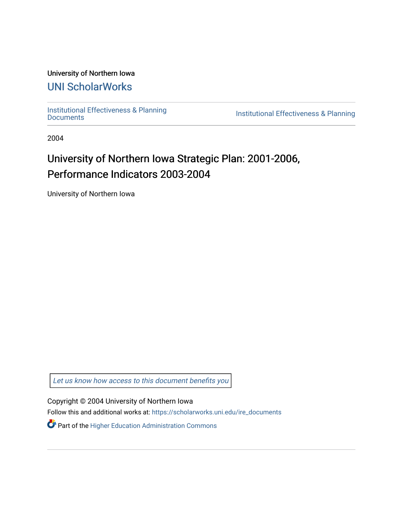#### University of Northern Iowa

## [UNI ScholarWorks](https://scholarworks.uni.edu/)

[Institutional Effectiveness & Planning](https://scholarworks.uni.edu/ire_documents)

Institutional Effectiveness & Planning

2004

# University of Northern Iowa Strategic Plan: 2001-2006, Performance Indicators 2003-2004

University of Northern Iowa

[Let us know how access to this document benefits you](https://scholarworks.uni.edu/feedback_form.html) 

Copyright © 2004 University of Northern Iowa

Follow this and additional works at: [https://scholarworks.uni.edu/ire\\_documents](https://scholarworks.uni.edu/ire_documents?utm_source=scholarworks.uni.edu%2Fire_documents%2F275&utm_medium=PDF&utm_campaign=PDFCoverPages) 

Part of the [Higher Education Administration Commons](http://network.bepress.com/hgg/discipline/791?utm_source=scholarworks.uni.edu%2Fire_documents%2F275&utm_medium=PDF&utm_campaign=PDFCoverPages)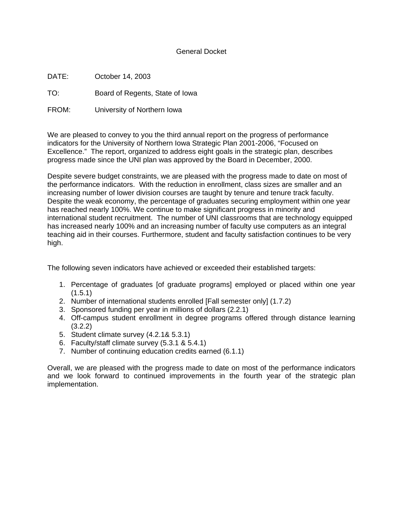#### General Docket

DATE: October 14, 2003

TO: Board of Regents, State of Iowa

FROM: University of Northern Iowa

We are pleased to convey to you the third annual report on the progress of performance indicators for the University of Northern Iowa Strategic Plan 2001-2006, "Focused on Excellence." The report, organized to address eight goals in the strategic plan, describes progress made since the UNI plan was approved by the Board in December, 2000.

Despite severe budget constraints, we are pleased with the progress made to date on most of the performance indicators. With the reduction in enrollment, class sizes are smaller and an increasing number of lower division courses are taught by tenure and tenure track faculty. Despite the weak economy, the percentage of graduates securing employment within one year has reached nearly 100%. We continue to make significant progress in minority and international student recruitment. The number of UNI classrooms that are technology equipped has increased nearly 100% and an increasing number of faculty use computers as an integral teaching aid in their courses. Furthermore, student and faculty satisfaction continues to be very high.

The following seven indicators have achieved or exceeded their established targets:

- 1. Percentage of graduates [of graduate programs] employed or placed within one year  $(1.5.1)$
- 2. Number of international students enrolled [Fall semester only] (1.7.2)
- 3. Sponsored funding per year in millions of dollars (2.2.1)
- 4. Off-campus student enrollment in degree programs offered through distance learning (3.2.2)
- 5. Student climate survey (4.2.1& 5.3.1)
- 6. Faculty/staff climate survey (5.3.1 & 5.4.1)
- 7. Number of continuing education credits earned (6.1.1)

Overall, we are pleased with the progress made to date on most of the performance indicators and we look forward to continued improvements in the fourth year of the strategic plan implementation.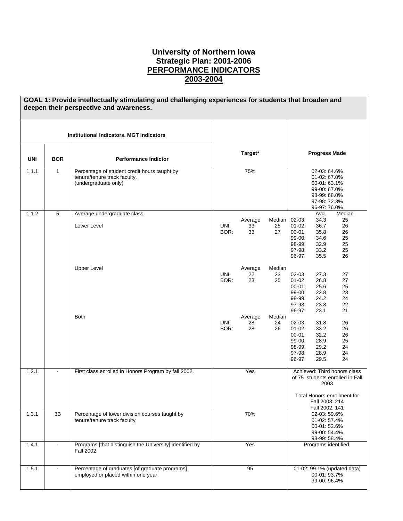#### **University of Northern Iowa Strategic Plan: 2001-2006 PERFORMANCE INDICATORS 2003-2004**

|            |                 | GOAL 1: Provide intellectually stimulating and challenging experiences for students that broaden and<br>deepen their perspective and awareness. |              |                     |                    |                                                                                   |                                                                                                             |                                                                                                |
|------------|-----------------|-------------------------------------------------------------------------------------------------------------------------------------------------|--------------|---------------------|--------------------|-----------------------------------------------------------------------------------|-------------------------------------------------------------------------------------------------------------|------------------------------------------------------------------------------------------------|
|            |                 | <b>Institutional Indicators, MGT Indicators</b>                                                                                                 |              |                     |                    |                                                                                   |                                                                                                             |                                                                                                |
| <b>UNI</b> | <b>BOR</b>      | <b>Performance Indictor</b>                                                                                                                     |              | Target*             |                    |                                                                                   | <b>Progress Made</b>                                                                                        |                                                                                                |
| 1.1.1      | $\mathbf{1}$    | Percentage of student credit hours taught by<br>tenure/tenure track faculty.<br>(undergraduate only)                                            |              | 75%                 |                    |                                                                                   | 02-03: 64.6%<br>01-02: 67.0%<br>00-01: 63.1%<br>99-00: 67.0%<br>98-99: 68.0%<br>97-98: 72.3%<br>96-97:76.0% |                                                                                                |
| 1.1.2      | 5               | Average undergraduate class<br>Lower Level                                                                                                      | UNI:<br>BOR: | Average<br>33<br>33 | Median<br>25<br>27 | $02 - 03$ :<br>$01 - 02$ :<br>$00 - 01$ :<br>99-00:<br>98-99:<br>97-98:<br>96-97: | Avg.<br>34.3<br>36.7<br>35.8<br>34.6<br>32.9<br>33.2<br>35.5                                                | Median<br>25<br>26<br>26<br>25<br>25<br>25<br>26                                               |
|            |                 | <b>Upper Level</b>                                                                                                                              | UNI:<br>BOR: | Average<br>22<br>23 | Median<br>23<br>25 | 02-03<br>$01 - 02$<br>$00 - 01$ :<br>99-00:<br>98-99:<br>97-98:<br>96-97:         | 27.3<br>26.8<br>25.6<br>22.8<br>24.2<br>23.3<br>23.1                                                        | 27<br>27<br>25<br>23<br>24<br>22<br>21                                                         |
|            |                 | <b>Both</b>                                                                                                                                     | UNI:<br>BOR: | Average<br>28<br>28 | Median<br>24<br>26 | 02-03<br>$01 - 02$<br>$00 - 01$ :<br>99-00:<br>98-99:<br>97-98:<br>96-97:         | 31.8<br>33.2<br>32.2<br>28.9<br>29.2<br>28.9<br>29.5                                                        | 26<br>26<br>26<br>25<br>24<br>24<br>24                                                         |
| 1.2.1      | $\blacksquare$  | First class enrolled in Honors Program by fall 2002.                                                                                            |              | Yes                 |                    |                                                                                   | 2003<br>Fall 2003: 214<br>Fall 2002: 141                                                                    | Achieved: Third honors class<br>of 75 students enrolled in Fall<br>Total Honors enrollment for |
| 1.3.1      | $\overline{3B}$ | Percentage of lower division courses taught by<br>tenure/tenure track faculty                                                                   |              | 70%                 |                    |                                                                                   | 02-03: 59.6%<br>01-02: 57.4%<br>00-01:52.6%<br>99-00: 54.4%<br>98-99: 58.4%                                 |                                                                                                |
| 1.4.1      |                 | Programs [that distinguish the University] identified by<br>Fall 2002.                                                                          |              | Yes                 |                    |                                                                                   | Programs identified.                                                                                        |                                                                                                |
| 1.5.1      |                 | Percentage of graduates [of graduate programs]<br>employed or placed within one year.                                                           |              | 95                  |                    |                                                                                   | 00-01: 93.7%<br>99-00: 96.4%                                                                                | 01-02: 99.1% (updated data)                                                                    |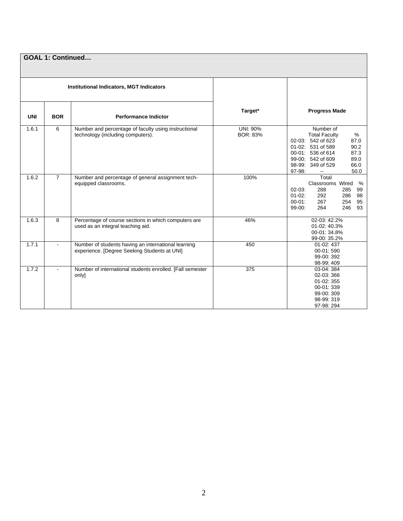|            | <b>GOAL 1: Continued</b> |                                                                                                     |                                    |                                                                                                                                                                                                           |  |  |
|------------|--------------------------|-----------------------------------------------------------------------------------------------------|------------------------------------|-----------------------------------------------------------------------------------------------------------------------------------------------------------------------------------------------------------|--|--|
|            |                          | <b>Institutional Indicators, MGT Indicators</b>                                                     |                                    |                                                                                                                                                                                                           |  |  |
| <b>UNI</b> | <b>BOR</b>               | <b>Performance Indictor</b>                                                                         | Target*                            | <b>Progress Made</b>                                                                                                                                                                                      |  |  |
| 1.6.1      | 6                        | Number and percentage of faculty using instructional<br>technology (including computers).           | <b>UNI: 90%</b><br><b>BOR: 83%</b> | Number of<br>%<br><b>Total Faculty</b><br>02-03: 542 of 623<br>87.0<br>01-02: 531 of 589<br>90.2<br>87.3<br>00-01: 536 of 614<br>99-00: 542 of 609<br>89.0<br>98-99: 349 of 529<br>66.0<br>97-98:<br>50.0 |  |  |
| 1.6.2      | $\overline{7}$           | Number and percentage of general assignment tech-<br>equipped classrooms.                           | 100%                               | Total<br>Classrooms Wired<br>%<br>$02 - 03$ :<br>288<br>99<br>285<br>$01-02$ :<br>292<br>286<br>98<br>$00 - 01$ :<br>267<br>254<br>95<br>$99-00$ :<br>264<br>246<br>93                                    |  |  |
| 1.6.3      | 8                        | Percentage of course sections in which computers are<br>used as an integral teaching aid.           | 46%                                | 02-03: 42.2%<br>01-02: 40.3%<br>00-01: 34.8%<br>99-00: 35.2%                                                                                                                                              |  |  |
| 1.7.1      | $\blacksquare$           | Number of students having an international learning<br>experience. [Degree Seeking Students at UNI] | 450                                | 01-02:437<br>00-01:590<br>99-00: 392<br>98-99:409                                                                                                                                                         |  |  |
| 1.7.2      | $\blacksquare$           | Number of international students enrolled. [Fall semester<br>only]                                  | 375                                | 03-04: 384<br>02-03:366<br>01-02: 355<br>00-01:339<br>99-00: 309<br>98-99: 319<br>97-98: 294                                                                                                              |  |  |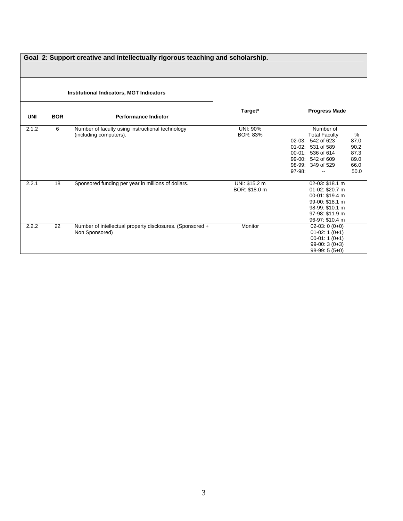|            | Goal 2: Support creative and intellectually rigorous teaching and scholarship. |                                                                             |                                |                                                                                                                                                                                                           |  |  |  |
|------------|--------------------------------------------------------------------------------|-----------------------------------------------------------------------------|--------------------------------|-----------------------------------------------------------------------------------------------------------------------------------------------------------------------------------------------------------|--|--|--|
|            |                                                                                | <b>Institutional Indicators, MGT Indicators</b>                             |                                |                                                                                                                                                                                                           |  |  |  |
| <b>UNI</b> | <b>BOR</b>                                                                     | <b>Performance Indictor</b>                                                 | Target*                        | <b>Progress Made</b>                                                                                                                                                                                      |  |  |  |
| 2.1.2      | 6                                                                              | Number of faculty using instructional technology<br>(including computers).  | <b>UNI: 90%</b><br>BOR: 83%    | Number of<br>%<br><b>Total Faculty</b><br>02-03: 542 of 623<br>87.0<br>90.2<br>01-02: 531 of 589<br>87.3<br>00-01: 536 of 614<br>99-00: 542 of 609<br>89.0<br>66.0<br>98-99: 349 of 529<br>97-98:<br>50.0 |  |  |  |
| 2.2.1      | 18                                                                             | Sponsored funding per year in millions of dollars.                          | UNI: \$15.2 m<br>BOR: \$18.0 m | 02-03: \$18.1 m<br>01-02: \$20.7 m<br>00-01: \$19.4 m<br>99-00: \$18.1 m<br>98-99: \$10.1 m<br>97-98: \$11.9 m<br>96-97: \$10.4 m                                                                         |  |  |  |
| 2.2.2      | 22                                                                             | Number of intellectual property disclosures. (Sponsored +<br>Non Sponsored) | Monitor                        | $02-03:0(0+0)$<br>$01-02:1(0+1)$<br>$00-01:1(0+1)$<br>$99-00:3(0+3)$<br>$98-99:5(5+0)$                                                                                                                    |  |  |  |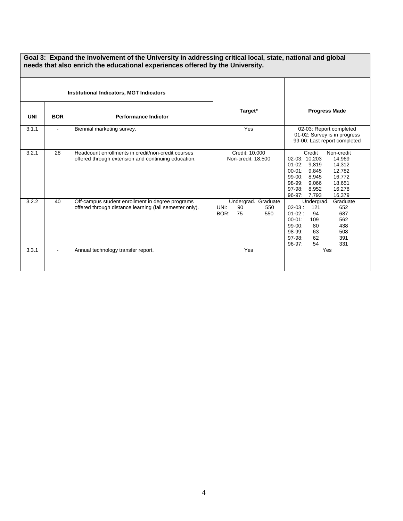|            | Goal 3: Expand the involvement of the University in addressing critical local, state, national and global<br>needs that also enrich the educational experiences offered by the University. |                                                                                                             |                                                               |                                                                                                                                                                                                                                |  |  |
|------------|--------------------------------------------------------------------------------------------------------------------------------------------------------------------------------------------|-------------------------------------------------------------------------------------------------------------|---------------------------------------------------------------|--------------------------------------------------------------------------------------------------------------------------------------------------------------------------------------------------------------------------------|--|--|
|            |                                                                                                                                                                                            | <b>Institutional Indicators, MGT Indicators</b>                                                             |                                                               |                                                                                                                                                                                                                                |  |  |
| <b>UNI</b> | <b>BOR</b>                                                                                                                                                                                 | <b>Performance Indictor</b>                                                                                 | Target*                                                       | <b>Progress Made</b>                                                                                                                                                                                                           |  |  |
| 3.1.1      |                                                                                                                                                                                            | Biennial marketing survey.                                                                                  | Yes                                                           | 02-03: Report completed<br>01-02: Survey is in progress<br>99-00: Last report completed                                                                                                                                        |  |  |
| 3.2.1      | 28                                                                                                                                                                                         | Headcount enrollments in credit/non-credit courses<br>offered through extension and continuing education.   | Credit: 10,000<br>Non-credit: 18,500                          | Credit<br>Non-credit<br>02-03: 10,203<br>14,969<br>01-02: 9,819<br>14,312<br>$00 - 01$ :<br>9,845<br>12,782<br>$99-00:$<br>8,945<br>16,772<br>18,651<br>98-99:<br>9,066<br>97-98:<br>16,278<br>8,952<br>96-97: 7,793<br>16,379 |  |  |
| 3.2.2      | 40                                                                                                                                                                                         | Off-campus student enrollment in degree programs<br>offered through distance learning (fall semester only). | Undergrad. Graduate<br>UNI:<br>90<br>550<br>BOR:<br>75<br>550 | Undergrad.<br>Graduate<br>$02-03:$<br>121<br>652<br>687<br>$01-02:$<br>94<br>562<br>$00 - 01$ :<br>109<br>99-00:<br>438<br>80<br>98-99:<br>63<br>508<br>97-98:<br>62<br>391<br>331<br>$96-97:$<br>54                           |  |  |
| 3.3.1      |                                                                                                                                                                                            | Annual technology transfer report.                                                                          | Yes                                                           | Yes                                                                                                                                                                                                                            |  |  |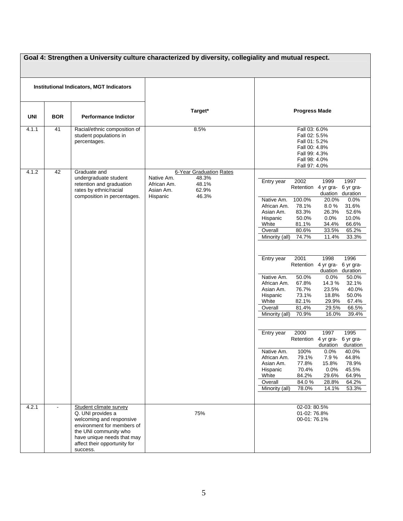| Goal 4: Strengthen a University culture characterized by diversity, collegiality and mutual respect. |            |                                                                                                                                                                                                          |                                                                                                                   |                                                                                                                                                                                                                                                                                                                                                                                                                                                                                                                                                                                                                                                                                                                                                                                                                                                                                                                                                                                                                                                                                                                                                                      |  |
|------------------------------------------------------------------------------------------------------|------------|----------------------------------------------------------------------------------------------------------------------------------------------------------------------------------------------------------|-------------------------------------------------------------------------------------------------------------------|----------------------------------------------------------------------------------------------------------------------------------------------------------------------------------------------------------------------------------------------------------------------------------------------------------------------------------------------------------------------------------------------------------------------------------------------------------------------------------------------------------------------------------------------------------------------------------------------------------------------------------------------------------------------------------------------------------------------------------------------------------------------------------------------------------------------------------------------------------------------------------------------------------------------------------------------------------------------------------------------------------------------------------------------------------------------------------------------------------------------------------------------------------------------|--|
| <b>Institutional Indicators, MGT Indicators</b>                                                      |            |                                                                                                                                                                                                          |                                                                                                                   |                                                                                                                                                                                                                                                                                                                                                                                                                                                                                                                                                                                                                                                                                                                                                                                                                                                                                                                                                                                                                                                                                                                                                                      |  |
| <b>UNI</b>                                                                                           | <b>BOR</b> | <b>Performance Indictor</b>                                                                                                                                                                              | Target*                                                                                                           | <b>Progress Made</b>                                                                                                                                                                                                                                                                                                                                                                                                                                                                                                                                                                                                                                                                                                                                                                                                                                                                                                                                                                                                                                                                                                                                                 |  |
| 4.1.1                                                                                                | 41         | Racial/ethnic composition of<br>student populations in<br>percentages.                                                                                                                                   | 8.5%                                                                                                              | Fall 03: 6.0%<br>Fall 02: 5.5%<br>Fall 01: 5.2%<br>Fall 00: 4.8%<br>Fall 99: 4.3%<br>Fall 98: 4.0%<br>Fall 97: 4.0%                                                                                                                                                                                                                                                                                                                                                                                                                                                                                                                                                                                                                                                                                                                                                                                                                                                                                                                                                                                                                                                  |  |
| 4.1.2                                                                                                | 42         | Graduate and<br>undergraduate student<br>retention and graduation<br>rates by ethnic/racial<br>composition in percentages.                                                                               | 6-Year Graduation Rates<br>Native Am.<br>48.3%<br>African Am.<br>48.1%<br>Asian Am.<br>62.9%<br>Hispanic<br>46.3% | 1997<br>2002<br>1999<br>Entry year<br>Retention 4 yr gra-<br>6 yr gra-<br>duation<br>duration<br>Native Am.<br>100.0%<br>20.0%<br>0.0%<br>31.6%<br>African Am.<br>78.1%<br>8.0%<br>Asian Am.<br>83.3%<br>26.3%<br>52.6%<br>Hispanic<br>50.0%<br>0.0%<br>10.0%<br>White<br>81.1%<br>34.4%<br>66.6%<br>Overall<br>80.6%<br>33.5%<br>65.2%<br>Minority (all)<br>74.7%<br>11.4%<br>33.3%<br>2001<br>1998<br>1996<br>Entry year<br>Retention 4 yr gra-<br>6 yr gra-<br>duation duration<br>50.0%<br>Native Am.<br>0.0%<br>50.0%<br>African Am.<br>67.8%<br>14.3%<br>32.1%<br>Asian Am.<br>76.7%<br>23.5%<br>40.0%<br>Hispanic<br>73.1%<br>18.8%<br>50.0%<br>White<br>82.1%<br>29.9%<br>67.4%<br>Overall<br>81.4%<br>29.5%<br>66.5%<br>70.9%<br>Minority (all)<br>16.0%<br>39.4%<br>2000<br>1997<br>1995<br>Entry year<br>Retention<br>4 yr gra-<br>6 yr gra-<br>duration<br>duration<br>100%<br>0.0%<br>40.0%<br>Native Am.<br>African Am.<br>79.1%<br>7.9%<br>44.8%<br>Asian Am.<br>77.8%<br>15.8%<br>78.9%<br>Hispanic<br>70.4%<br>0.0%<br>45.5%<br>White<br>84.2%<br>29.6%<br>64.9%<br>84.0%<br>64.2%<br>Overall<br>28.8%<br>Minority (all)<br>78.0%<br>14.1%<br>53.3% |  |
| 4.2.1                                                                                                |            | Student climate survey<br>Q. UNI provides a<br>welcoming and responsive<br>environment for members of<br>the UNI community who<br>have unique needs that may<br>affect their opportunity for<br>success. | 75%                                                                                                               | 02-03: 80.5%<br>01-02: 76.8%<br>00-01:76.1%                                                                                                                                                                                                                                                                                                                                                                                                                                                                                                                                                                                                                                                                                                                                                                                                                                                                                                                                                                                                                                                                                                                          |  |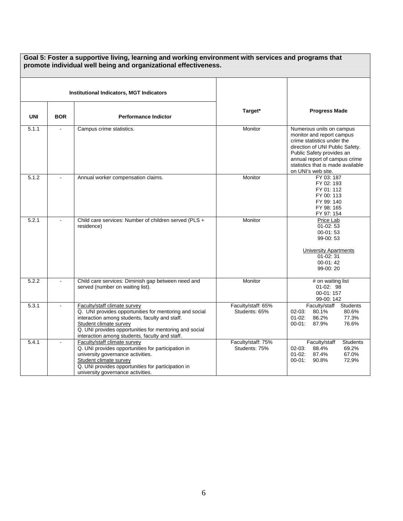| Goal 5: Foster a supportive living, learning and working environment with services and programs that<br>promote individual well being and organizational effectiveness. |            |                                                                                                                                                                                                                                                                                |                                     |                                                                                                                                                                                                                                                 |  |
|-------------------------------------------------------------------------------------------------------------------------------------------------------------------------|------------|--------------------------------------------------------------------------------------------------------------------------------------------------------------------------------------------------------------------------------------------------------------------------------|-------------------------------------|-------------------------------------------------------------------------------------------------------------------------------------------------------------------------------------------------------------------------------------------------|--|
| <b>Institutional Indicators, MGT Indicators</b>                                                                                                                         |            |                                                                                                                                                                                                                                                                                |                                     |                                                                                                                                                                                                                                                 |  |
| <b>UNI</b>                                                                                                                                                              | <b>BOR</b> | <b>Performance Indictor</b>                                                                                                                                                                                                                                                    | Target*                             | <b>Progress Made</b>                                                                                                                                                                                                                            |  |
| 5.1.1                                                                                                                                                                   |            | Campus crime statistics.                                                                                                                                                                                                                                                       | Monitor                             | Numerous units on campus<br>monitor and report campus<br>crime statistics under the<br>direction of UNI Public Safety.<br>Public Safety provides an<br>annual report of campus crime<br>statistics that is made available<br>on UNI's web site. |  |
| 5.1.2                                                                                                                                                                   |            | Annual worker compensation claims.                                                                                                                                                                                                                                             | Monitor                             | FY 03: 187<br>FY 02: 193<br>FY 01: 112<br>FY 00: 113<br>FY 99: 140<br>FY 98: 165<br>FY 97: 154                                                                                                                                                  |  |
| 5.2.1                                                                                                                                                                   |            | Child care services: Number of children served (PLS +<br>residence)                                                                                                                                                                                                            | Monitor                             | Price Lab<br>$01-02:53$<br>$00-01:53$<br>99-00:53<br><b>University Apartments</b><br>$01 - 02:31$<br>$00-01:42$<br>99-00:20                                                                                                                     |  |
| 5.2.2                                                                                                                                                                   |            | Child care services: Diminish gap between need and<br>served (number on waiting list).                                                                                                                                                                                         | Monitor                             | # on waiting list<br>01-02: 98<br>00-01: 157<br>99-00: 142                                                                                                                                                                                      |  |
| 5.3.1                                                                                                                                                                   |            | Faculty/staff climate survey<br>Q. UNI provides opportunities for mentoring and social<br>interaction among students, faculty and staff.<br>Student climate survey<br>Q. UNI provides opportunities for mentoring and social<br>interaction among students, faculty and staff. | Faculty/staff: 65%<br>Students: 65% | Faculty/staff<br><b>Students</b><br>$02 - 03$ :<br>80.1%<br>80.6%<br>86.2%<br>$01 - 02$ :<br>77.3%<br>76.6%<br>$00 - 01$ :<br>87.9%                                                                                                             |  |
| 5.4.1                                                                                                                                                                   |            | Faculty/staff climate survey<br>Q. UNI provides opportunities for participation in<br>university governance activities.<br>Student climate survey<br>Q. UNI provides opportunities for participation in<br>university governance activities.                                   | Faculty/staff: 75%<br>Students: 75% | Faculty/staff<br><b>Students</b><br>$02 - 03$ :<br>88.4%<br>69.2%<br>$01-02$ :<br>67.0%<br>87.4%<br>72.9%<br>90.8%<br>$00 - 01$ :                                                                                                               |  |

# **Goal 5: Foster a supportive living, learning and working environment with services and programs that**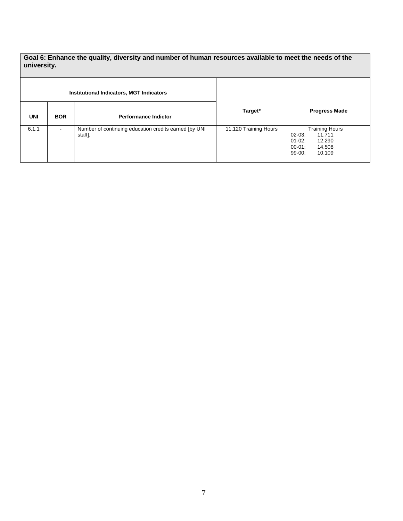**Goal 6: Enhance the quality, diversity and number of human resources available to meet the needs of the university.** 

|            |            | <b>Institutional Indicators, MGT Indicators</b>                   |                       |                                                                                                                |
|------------|------------|-------------------------------------------------------------------|-----------------------|----------------------------------------------------------------------------------------------------------------|
| <b>UNI</b> | <b>BOR</b> | <b>Performance Indictor</b>                                       | Target*               | <b>Progress Made</b>                                                                                           |
| 6.1.1      | ۰          | Number of continuing education credits earned [by UNI]<br>staff]. | 11,120 Training Hours | <b>Training Hours</b><br>$02-03:$<br>11,711<br>01-02:<br>12,290<br>$00 - 01$ :<br>14,508<br>$99-00.$<br>10,109 |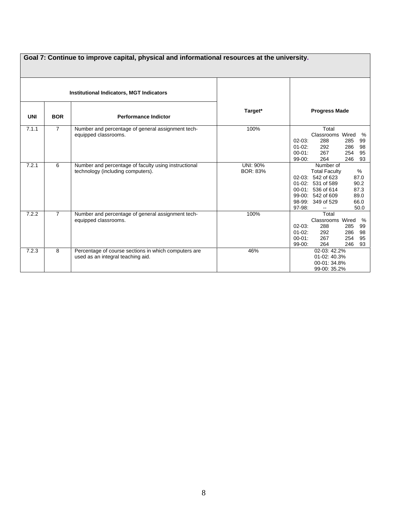| Goal 7: Continue to improve capital, physical and informational resources at the university. |                |                                                                                           |                             |                                                                                                                                                                                                                       |  |
|----------------------------------------------------------------------------------------------|----------------|-------------------------------------------------------------------------------------------|-----------------------------|-----------------------------------------------------------------------------------------------------------------------------------------------------------------------------------------------------------------------|--|
|                                                                                              |                | <b>Institutional Indicators, MGT Indicators</b>                                           |                             |                                                                                                                                                                                                                       |  |
| <b>UNI</b>                                                                                   | <b>BOR</b>     | <b>Performance Indictor</b>                                                               | Target*                     | <b>Progress Made</b>                                                                                                                                                                                                  |  |
| 7.1.1                                                                                        | $\overline{7}$ | Number and percentage of general assignment tech-<br>equipped classrooms.                 | 100%                        | Total<br>Classrooms Wired<br>%<br>$02 - 03$ :<br>288<br>285<br>99<br>$01-02$ :<br>292<br>286<br>98<br>267<br>$00 - 01$ :<br>254<br>95<br>$99-00:$<br>264<br>246<br>93                                                 |  |
| 7.2.1                                                                                        | 6              | Number and percentage of faculty using instructional<br>technology (including computers). | UNI: 90%<br><b>BOR: 83%</b> | Number of<br>$\frac{0}{0}$<br><b>Total Faculty</b><br>02-03: 542 of 623<br>87.0<br>01-02: 531 of 589<br>90.2<br>87.3<br>00-01: 536 of 614<br>89.0<br>99-00: 542 of 609<br>66.0<br>98-99: 349 of 529<br>97-98:<br>50.0 |  |
| 7.2.2                                                                                        | $\overline{7}$ | Number and percentage of general assignment tech-<br>equipped classrooms.                 | 100%                        | Total<br>Classrooms Wired<br>%<br>$02-03$ :<br>288<br>285<br>99<br>$01-02$ :<br>292<br>286<br>98<br>$00 - 01$ :<br>267<br>254<br>95<br>$99-00:$<br>264<br>246<br>93                                                   |  |
| 7.2.3                                                                                        | 8              | Percentage of course sections in which computers are<br>used as an integral teaching aid. | 46%                         | 02-03: 42.2%<br>01-02: 40.3%<br>00-01: 34.8%<br>99-00: 35.2%                                                                                                                                                          |  |

### 8